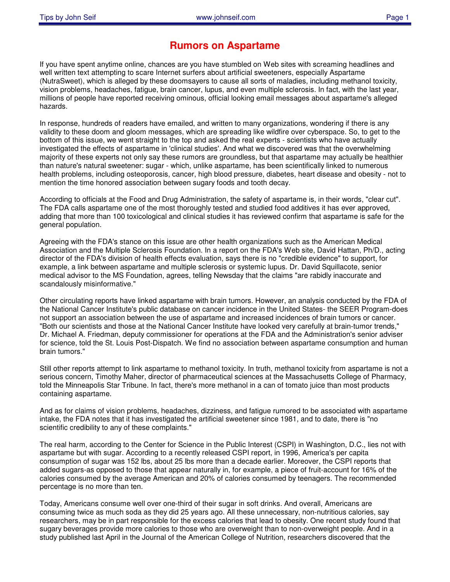## **Rumors on Aspartame**

If you have spent anytime online, chances are you have stumbled on Web sites with screaming headlines and well written text attempting to scare Internet surfers about artificial sweeteners, especially Aspartame (NutraSweet), which is alleged by these doomsayers to cause all sorts of maladies, including methanol toxicity, vision problems, headaches, fatigue, brain cancer, lupus, and even multiple sclerosis. In fact, with the last year, millions of people have reported receiving ominous, official looking email messages about aspartame's alleged hazards.

In response, hundreds of readers have emailed, and written to many organizations, wondering if there is any validity to these doom and gloom messages, which are spreading like wildfire over cyberspace. So, to get to the bottom of this issue, we went straight to the top and asked the real experts - scientists who have actually investigated the effects of aspartame in 'clinical studies'. And what we discovered was that the overwhelming majority of these experts not only say these rumors are groundless, but that aspartame may actually be healthier than nature's natural sweetener: sugar - which, unlike aspartame, has been scientifically linked to numerous health problems, including osteoporosis, cancer, high blood pressure, diabetes, heart disease and obesity - not to mention the time honored association between sugary foods and tooth decay.

According to officials at the Food and Drug Administration, the safety of aspartame is, in their words, "clear cut". The FDA calls aspartame one of the most thoroughly tested and studied food additives it has ever approved, adding that more than 100 toxicological and clinical studies it has reviewed confirm that aspartame is safe for the general population.

Agreeing with the FDA's stance on this issue are other health organizations such as the American Medical Association and the Multiple Sclerosis Foundation. In a report on the FDA's Web site, David Hattan, Ph/D., acting director of the FDA's division of health effects evaluation, says there is no "credible evidence" to support, for example, a link between aspartame and multiple sclerosis or systemic lupus. Dr. David Squillacote, senior medical advisor to the MS Foundation, agrees, telling Newsday that the claims "are rabidly inaccurate and scandalously misinformative."

Other circulating reports have linked aspartame with brain tumors. However, an analysis conducted by the FDA of the National Cancer Institute's public database on cancer incidence in the United States- the SEER Program-does not support an association between the use of aspartame and increased incidences of brain tumors or cancer. "Both our scientists and those at the National Cancer Institute have looked very carefully at brain-tumor trends," Dr. Michael A. Friedman, deputy commissioner for operations at the FDA and the Administration's senior adviser for science, told the St. Louis Post-Dispatch. We find no association between aspartame consumption and human brain tumors."

Still other reports attempt to link aspartame to methanol toxicity. In truth, methanol toxicity from aspartame is not a serious concern, Timothy Maher, director of pharmaceutical sciences at the Massachusetts College of Pharmacy, told the Minneapolis Star Tribune. In fact, there's more methanol in a can of tomato juice than most products containing aspartame.

And as for claims of vision problems, headaches, dizziness, and fatigue rumored to be associated with aspartame intake, the FDA notes that it has investigated the artificial sweetener since 1981, and to date, there is "no scientific credibility to any of these complaints."

The real harm, according to the Center for Science in the Public Interest (CSPI) in Washington, D.C., lies not with aspartame but with sugar. According to a recently released CSPI report, in 1996, America's per capita consumption of sugar was 152 lbs, about 25 lbs more than a decade earlier. Moreover, the CSPI reports that added sugars-as opposed to those that appear naturally in, for example, a piece of fruit-account for 16% of the calories consumed by the average American and 20% of calories consumed by teenagers. The recommended percentage is no more than ten.

Today, Americans consume well over one-third of their sugar in soft drinks. And overall, Americans are consuming twice as much soda as they did 25 years ago. All these unnecessary, non-nutritious calories, say researchers, may be in part responsible for the excess calories that lead to obesity. One recent study found that sugary beverages provide more calories to those who are overweight than to non-overweight people. And in a study published last April in the Journal of the American College of Nutrition, researchers discovered that the